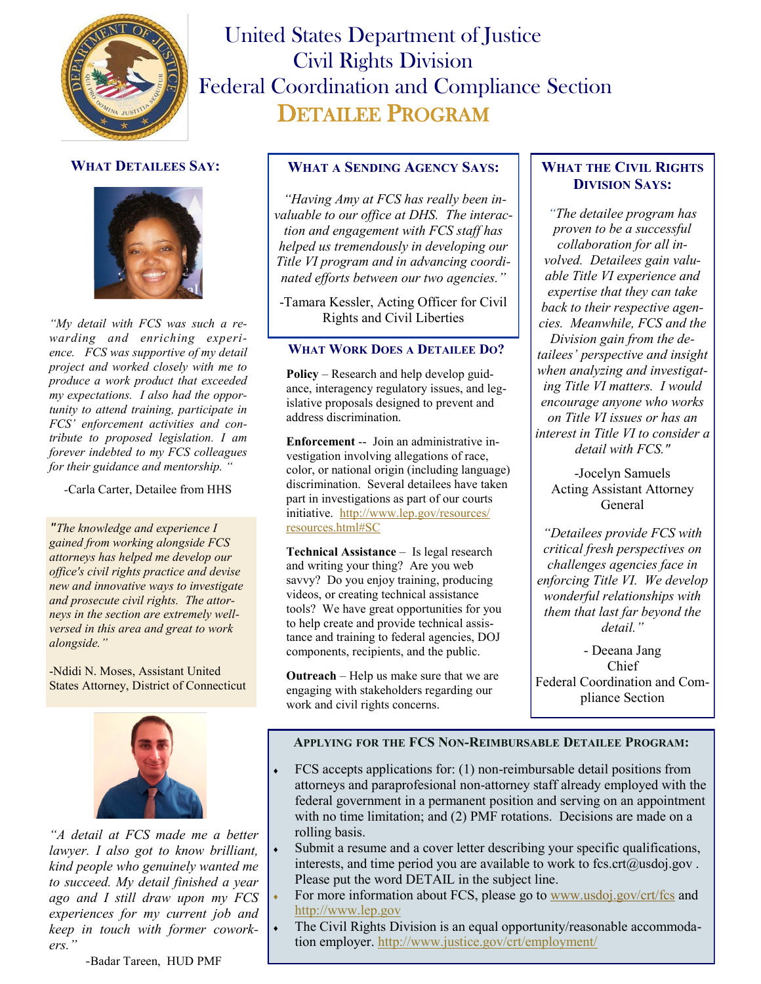

# United States Department of Justice Civil Rights Division Federal Coordination and Compliance Section DETAILEE PROGRAM

# **WHAT DETAILEES SAY:**



*"My detail with FCS was such a rewarding and enriching experience. FCS was supportive of my detail project and worked closely with me to produce a work product that exceeded my expectations. I also had the opportunity to attend training, participate in FCS' enforcement activities and contribute to proposed legislation. I am forever indebted to my FCS colleagues for their guidance and mentorship. "*

*-*Carla Carter, Detailee from HHS

*"The knowledge and experience I gained from working alongside FCS attorneys has helped me develop our office's civil rights practice and devise new and innovative ways to investigate and prosecute civil rights. The attorneys in the section are extremely wellversed in this area and great to work alongside."*

-Ndidi N. Moses, Assistant United States Attorney, District of Connecticut



*"A detail at FCS made me a better lawyer. I also got to know brilliant, kind people who genuinely wanted me to succeed. My detail finished a year ago and I still draw upon my FCS experiences for my current job and keep in touch with former coworkers."* 

### **WHAT A SENDING AGENCY SAYS:**

*"Having Amy at FCS has really been invaluable to our office at DHS. The interaction and engagement with FCS staff has helped us tremendously in developing our Title VI program and in advancing coordinated efforts between our two agencies."* 

-Tamara Kessler, Acting Officer for Civil Rights and Civil Liberties

#### **WHAT WORK DOES A DETAILEE DO?**

**Policy** – Research and help develop guidance, interagency regulatory issues, and legislative proposals designed to prevent and address discrimination.

**Enforcement** -- Join an administrative investigation involving allegations of race, color, or national origin (including language) discrimination. Several detailees have taken part in investigations as part of our courts initiative. [http://www.lep.gov/resources/](http://www.lep.gov/resources/resources.html#SC) [resources.html#SC](http://www.lep.gov/resources/resources.html#SC)

**Technical Assistance** – Is legal research and writing your thing? Are you web savvy? Do you enjoy training, producing videos, or creating technical assistance tools? We have great opportunities for you to help create and provide technical assistance and training to federal agencies, DOJ components, recipients, and the public.

**Outreach** – Help us make sure that we are engaging with stakeholders regarding our work and civil rights concerns.

## **WHAT THE CIVIL RIGHTS DIVISION SAYS:**

*"The detailee program has proven to be a successful collaboration for all involved. Detailees gain valuable Title VI experience and expertise that they can take back to their respective agencies. Meanwhile, FCS and the Division gain from the detailees' perspective and insight when analyzing and investigating Title VI matters. I would encourage anyone who works on Title VI issues or has an interest in Title VI to consider a detail with FCS."* 

-Jocelyn Samuels Acting Assistant Attorney General

*"Detailees provide FCS with critical fresh perspectives on challenges agencies face in enforcing Title VI. We develop wonderful relationships with them that last far beyond the detail."*

- Deeana Jang Chief Federal Coordination and Compliance Section

#### **APPLYING FOR THE FCS NON-REIMBURSABLE DETAILEE PROGRAM:**

- FCS accepts applications for: (1) non-reimbursable detail positions from attorneys and paraprofesional non-attorney staff already employed with the federal government in a permanent position and serving on an appointment with no time limitation; and (2) PMF rotations. Decisions are made on a rolling basis.
- Submit a resume and a cover letter describing your specific qualifications, interests, and time period you are available to work to fcs.crt $(a)$ usdoj.gov. Please put the word DETAIL in the subject line.
- For more information about FCS, please go to [www.usdoj.gov/crt/fcs](http://www.usdoj.gov/crt/fcs) and <http://www.lep.gov>
- The Civil Rights Division is an equal opportunity/reasonable accommodation employer.<http://www.justice.gov/crt/employment/>